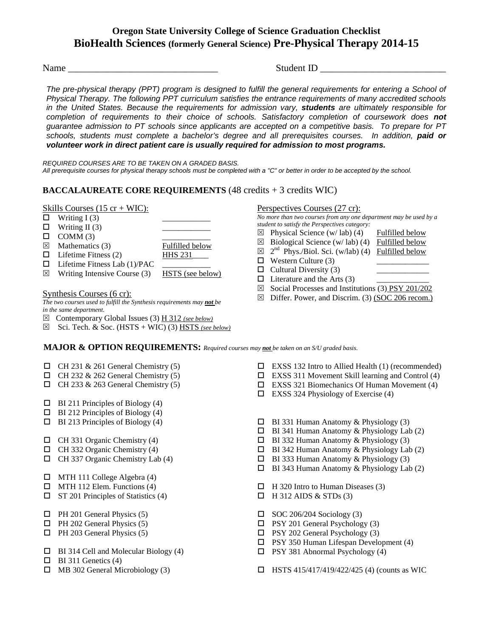# **Oregon State University College of Science Graduation Checklist BioHealth Sciences (formerly General Science) Pre-Physical Therapy 2014-15**

Name **Name** and the student in the student in the student in  $\mathbf{S}$  tudent ID

*The pre-physical therapy (PPT) program is designed to fulfill the general requirements for entering a School of Physical Therapy. The following PPT curriculum satisfies the entrance requirements of many accredited schools in the United States. Because the requirements for admission vary, students are ultimately responsible for completion of requirements to their choice of schools. Satisfactory completion of coursework does not guarantee admission to PT schools since applicants are accepted on a competitive basis. To prepare for PT*  schools, students must complete a bachelor's degree and all prerequisites courses. In addition, **paid or** *volunteer work in direct patient care is usually required for admission to most programs.*

*REQUIRED COURSES ARE TO BE TAKEN ON A GRADED BASIS. All prerequisite courses for physical therapy schools must be completed with a "C" or better in order to be accepted by the school.* 

# **BACCALAUREATE CORE REQUIREMENTS** (48 credits + 3 credits WIC)

### Skills Courses  $(15 \text{ cr} + \text{WIC})$ :

 $\Box$  Writing I (3)  $\Box$  Writing II (3)  $\Box$  COMM (3)  $\boxtimes$  Mathematics (3) Fulfilled below  $\Box$  Lifetime Fitness (2) HHS 231  $\Box$  Lifetime Fitness Lab (1)/PAC  $\boxtimes$  Writing Intensive Course (3) HSTS (see below)

### Synthesis Courses (6 cr):

*The two courses used to fulfill the Synthesis requirements may not be in the same department.*

- Contemporary Global Issues (3) H 312 *(see below)*
- $\boxtimes$  Sci. Tech. & Soc. (HSTS + WIC) (3) HSTS *(see below)*

### Perspectives Courses (27 cr):

*No more than two courses from any one department may be used by a student to satisfy the Perspectives category:*

- $\boxtimes$  Physical Science (w/ lab) (4) Fulfilled below
- $\boxtimes$  Biological Science (w/lab) (4) Fulfilled below
- $\boxtimes$  2<sup>nd</sup> Phys./Biol. Sci. (w/lab) (4) Fulfilled below
- $\Box$  Western Culture (3)
- $\Box$  Cultural Diversity (3)
- $\Box$  Literature and the Arts (3)
- $\boxtimes$  Social Processes and Institutions (3) PSY 201/202
- $\boxtimes$  Differ. Power, and Discrim. (3) (SOC 206 recom.)
- **MAJOR & OPTION REQUIREMENTS:** *Required courses may not be taken on an S/U graded basis.*
- $\Box$  CH 231 & 261 General Chemistry (5)
- $\Box$  CH 232 & 262 General Chemistry (5)
- $\Box$  CH 233 & 263 General Chemistry (5)
- $\Box$  BI 211 Principles of Biology (4)
- $\Box$  BI 212 Principles of Biology (4)
- $\Box$  BI 213 Principles of Biology (4)
- $\Box$  CH 331 Organic Chemistry (4)
- $\Box$  CH 332 Organic Chemistry (4)
- $\Box$  CH 337 Organic Chemistry Lab (4)
- MTH 111 College Algebra (4)
- $\Box$  MTH 112 Elem. Functions (4)
- $\Box$  ST 201 Principles of Statistics (4)
- $\Box$  PH 201 General Physics (5)
- $\Box$  PH 202 General Physics (5)
- $\Box$  PH 203 General Physics (5)
- BI 314 Cell and Molecular Biology (4)
- $\Box$  BI 311 Genetics (4)
- $\Box$  MB 302 General Microbiology (3)
- □ EXSS 132 Intro to Allied Health (1) (recommended)
- $\Box$  EXSS 311 Movement Skill learning and Control (4)
- $\Box$  EXSS 321 Biomechanics Of Human Movement (4)
- $\Box$  EXSS 324 Physiology of Exercise (4)
- $\Box$  BI 331 Human Anatomy & Physiology (3)
- $\Box$  BI 341 Human Anatomy & Physiology Lab (2)
- $\Box$  BI 332 Human Anatomy & Physiology (3)
- $\Box$  BI 342 Human Anatomy & Physiology Lab (2)
- $\Box$  BI 333 Human Anatomy & Physiology (3)
- $\Box$  BI 343 Human Anatomy & Physiology Lab (2)
- $\Box$  H 320 Intro to Human Diseases (3)
- $\Box$  H 312 AIDS & STDs (3)
- $\Box$  SOC 206/204 Sociology (3)
- $\Box$  PSY 201 General Psychology (3)
- $\Box$  PSY 202 General Psychology (3)
- $\Box$  PSY 350 Human Lifespan Development (4)
- $\Box$  PSY 381 Abnormal Psychology (4)
- $\Box$  HSTS 415/417/419/422/425 (4) (counts as WIC